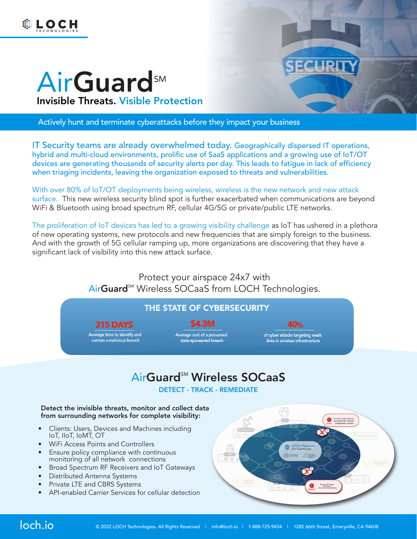



# AirGuard<sup>SM</sup> Invisible Threats. Visible Protection

Actively hunt and terminate cyberattacks before they impact your business

IT Security teams are already overwhelmed today. Geographically dispersed IT operations, hybrid and multi-cloud environments, prolific use of SaaS applications and a growing use of IoT/OT devices are generating thousands of security alerts per day. This leads to fatigue in lack of efficiency when triaging incidents, leaving the organization exposed to threats and vulnerabilities.

With over 80% of IoT/OT deployments being wireless, wireless is the new network and new attack surface. This new wireless security blind spot is further exacerbated when communications are beyond WiFi & Bluetooth using broad spectrum RF, cellular 4G/5G or private/public LTE networks.

The proliferation of IoT devices has led to a growing visibility challenge as IoT has ushered in a plethora of new operating systems, new protocols and new frequencies that are simply foreign to the business. And with the growth of 5G cellular ramping up, more organizations are discovering that they have a significant lack of visibility into this new attack surface.

> Protect your airspace 24x7 with AirGuard<sup>SM</sup> Wireless SOCaaS from LOCH Technologies.

### THE STATE OF CYBERSECURITY

#### **S4.3M**

**315 DAYS** 

Average time to identify and<br>contain a malicious breach

Average cost of a presumed<br>state-sponsored breach

 $40%$ of cyber attacks targeting weak<br>links in wireless infrastructure

## AirGuard<sup>SM</sup> Wireless SOCaaS

DETECT - TRACK - REMEDIATE

#### Detect the invisible threats, monitor and collect data from surrounding networks for complete visibility:

- Clients: Users, Devices and Machines including IoT, IIoT, IoMT, OT
- WiFi Access Points and Controllers
- Ensure policy compliance with continuous monitoring of all network connections
- Broad Spectrum RF Receivers and IoT Gateways
- Distributed Antenna Systems
- Private LTE and CBRS Systems
- API-enabled Carrier Services for cellular detection